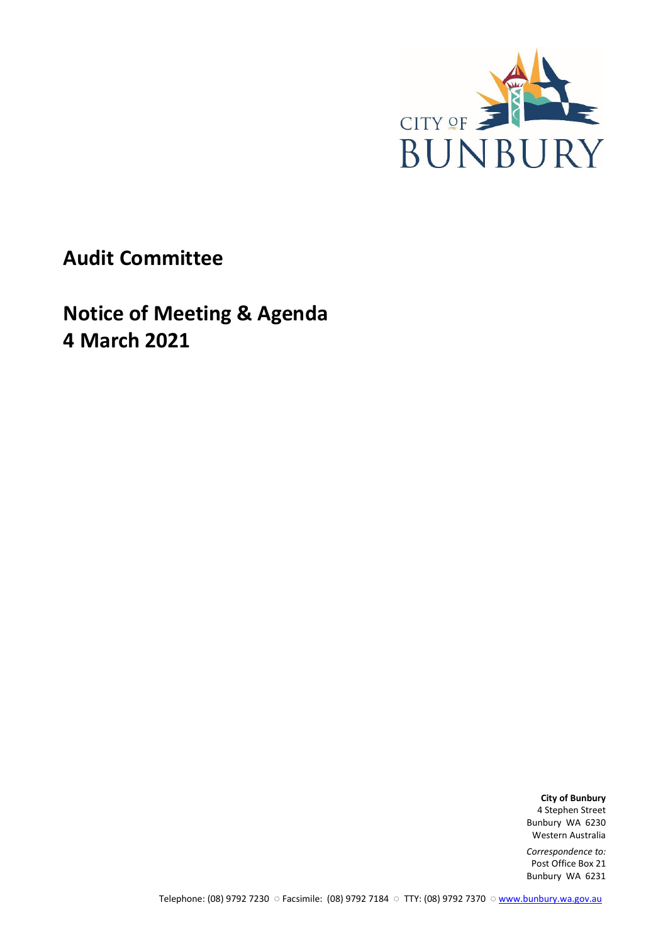

**Audit Committee**

**Notice of Meeting & Agenda 4 March 2021**

> **City of Bunbury** 4 Stephen Street Bunbury WA 6230 Western Australia

> *Correspondence to:* Post Office Box 21 Bunbury WA 6231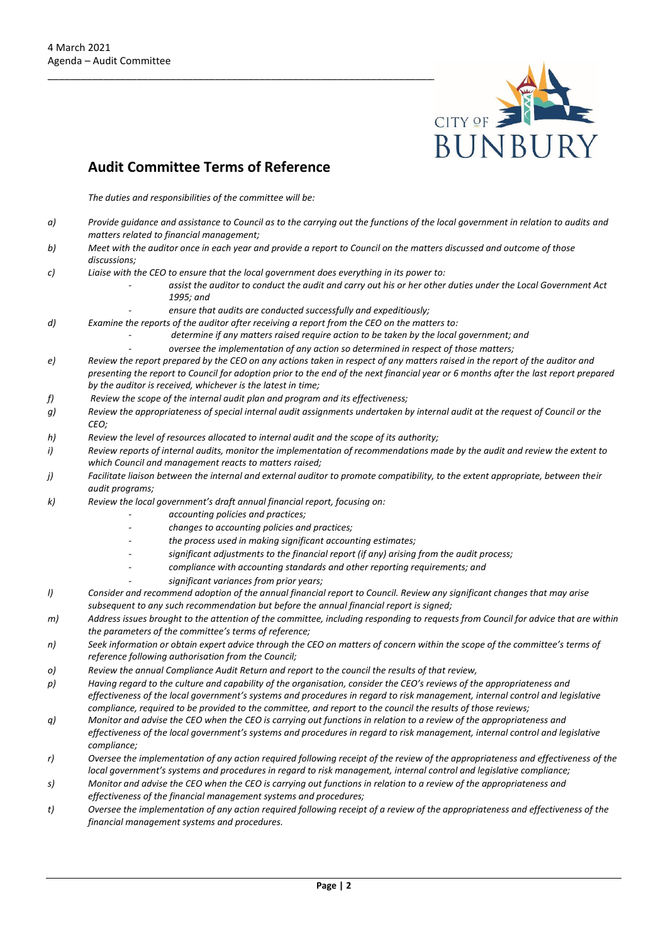

# **Audit Committee Terms of Reference**

*The duties and responsibilities of the committee will be:*

- *a) Provide guidance and assistance to Council as to the carrying out the functions of the local government in relation to audits and matters related to financial management;*
- *b) Meet with the auditor once in each year and provide a report to Council on the matters discussed and outcome of those discussions;*
- *c) Liaise with the CEO to ensure that the local government does everything in its power to:* 
	- *- assist the auditor to conduct the audit and carry out his or her other duties under the Local Government Act 1995; and*
	- *- ensure that audits are conducted successfully and expeditiously;*
- *d) Examine the reports of the auditor after receiving a report from the CEO on the matters to:* 
	- *- determine if any matters raised require action to be taken by the local government; and*
	- *- oversee the implementation of any action so determined in respect of those matters;*
- *e) Review the report prepared by the CEO on any actions taken in respect of any matters raised in the report of the auditor and presenting the report to Council for adoption prior to the end of the next financial year or 6 months after the last report prepared by the auditor is received, whichever is the latest in time;*
- *f) Review the scope of the internal audit plan and program and its effectiveness;*
- *g) Review the appropriateness of special internal audit assignments undertaken by internal audit at the request of Council or the CEO;*
- *h) Review the level of resources allocated to internal audit and the scope of its authority;*
- *i) Review reports of internal audits, monitor the implementation of recommendations made by the audit and review the extent to which Council and management reacts to matters raised;*
- *j) Facilitate liaison between the internal and external auditor to promote compatibility, to the extent appropriate, between their audit programs;*
- *k) Review the local government's draft annual financial report, focusing on:* 
	- *- accounting policies and practices;*
	- *- changes to accounting policies and practices;*
	- *- the process used in making significant accounting estimates;*
	- *- significant adjustments to the financial report (if any) arising from the audit process;*
	- *- compliance with accounting standards and other reporting requirements; and*
	- *- significant variances from prior years;*
- *l) Consider and recommend adoption of the annual financial report to Council. Review any significant changes that may arise subsequent to any such recommendation but before the annual financial report is signed;*
- *m) Address issues brought to the attention of the committee, including responding to requests from Council for advice that are within the parameters of the committee's terms of reference;*
- *n) Seek information or obtain expert advice through the CEO on matters of concern within the scope of the committee's terms of reference following authorisation from the Council;*
- *o) Review the annual Compliance Audit Return and report to the council the results of that review,*
- *p) Having regard to the culture and capability of the organisation, consider the CEO's reviews of the appropriateness and effectiveness of the local government's systems and procedures in regard to risk management, internal control and legislative compliance, required to be provided to the committee, and report to the council the results of those reviews;*
- *q) Monitor and advise the CEO when the CEO is carrying out functions in relation to a review of the appropriateness and effectiveness of the local government's systems and procedures in regard to risk management, internal control and legislative compliance;*
- *r) Oversee the implementation of any action required following receipt of the review of the appropriateness and effectiveness of the local government's systems and procedures in regard to risk management, internal control and legislative compliance;*
- *s) Monitor and advise the CEO when the CEO is carrying out functions in relation to a review of the appropriateness and effectiveness of the financial management systems and procedures;*
- *t) Oversee the implementation of any action required following receipt of a review of the appropriateness and effectiveness of the financial management systems and procedures.*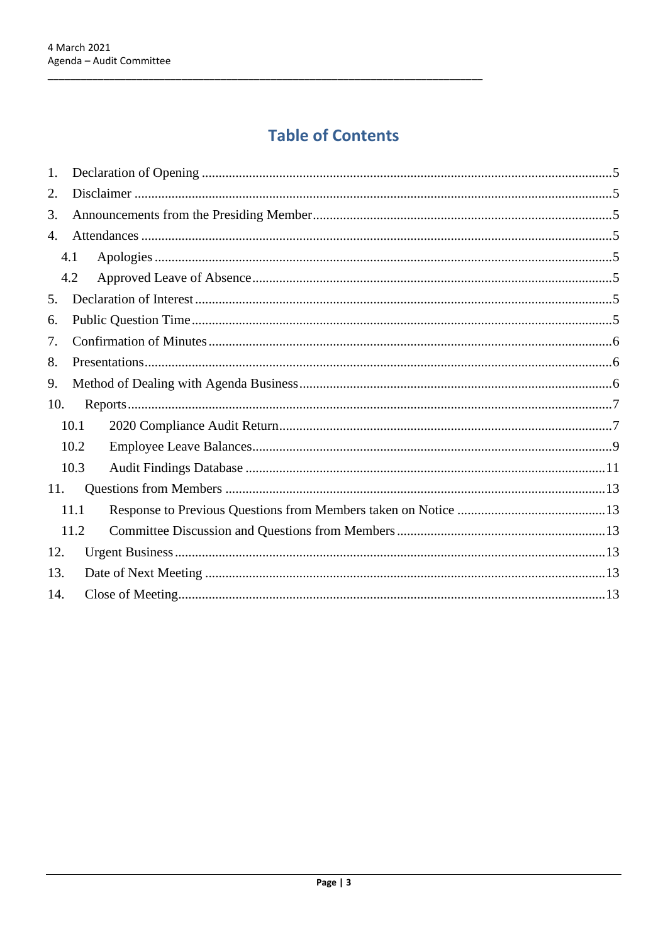# **Table of Contents**

| 1.  |      |  |  |  |  |
|-----|------|--|--|--|--|
| 2.  |      |  |  |  |  |
| 3.  |      |  |  |  |  |
| 4.  |      |  |  |  |  |
|     | 4.1  |  |  |  |  |
|     | 4.2  |  |  |  |  |
| 5.  |      |  |  |  |  |
| 6.  |      |  |  |  |  |
| 7.  |      |  |  |  |  |
| 8.  |      |  |  |  |  |
| 9.  |      |  |  |  |  |
| 10. |      |  |  |  |  |
|     | 10.1 |  |  |  |  |
|     | 10.2 |  |  |  |  |
|     | 10.3 |  |  |  |  |
| 11. |      |  |  |  |  |
|     | 11.1 |  |  |  |  |
|     | 11.2 |  |  |  |  |
| 12. |      |  |  |  |  |
| 13. |      |  |  |  |  |
| 14. |      |  |  |  |  |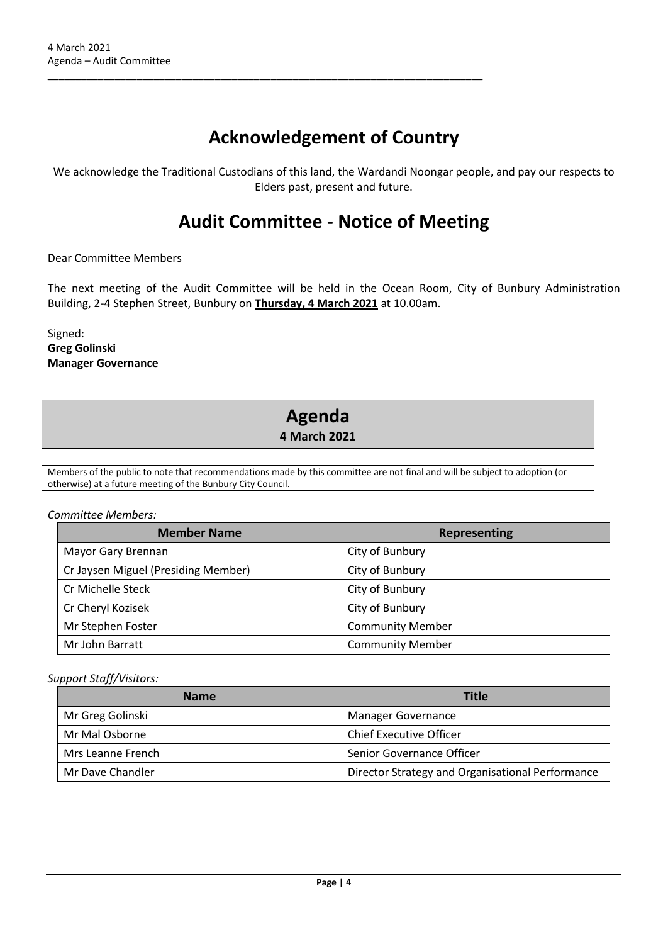# **Acknowledgement of Country**

\_\_\_\_\_\_\_\_\_\_\_\_\_\_\_\_\_\_\_\_\_\_\_\_\_\_\_\_\_\_\_\_\_\_\_\_\_\_\_\_\_\_\_\_\_\_\_\_\_\_\_\_\_\_\_\_\_\_\_\_\_\_\_\_\_\_\_\_\_\_\_\_\_\_\_\_\_\_

We acknowledge the Traditional Custodians of this land, the Wardandi Noongar people, and pay our respects to Elders past, present and future.

# **Audit Committee - Notice of Meeting**

Dear Committee Members

The next meeting of the Audit Committee will be held in the Ocean Room, City of Bunbury Administration Building, 2-4 Stephen Street, Bunbury on **Thursday, 4 March 2021** at 10.00am.

Signed: **Greg Golinski Manager Governance**

# **Agenda 4 March 2021**

Members of the public to note that recommendations made by this committee are not final and will be subject to adoption (or otherwise) at a future meeting of the Bunbury City Council.

#### *Committee Members:*

| <b>Member Name</b>                  | Representing            |  |
|-------------------------------------|-------------------------|--|
| Mayor Gary Brennan                  | City of Bunbury         |  |
| Cr Jaysen Miguel (Presiding Member) | City of Bunbury         |  |
| Cr Michelle Steck                   | City of Bunbury         |  |
| Cr Cheryl Kozisek                   | City of Bunbury         |  |
| Mr Stephen Foster                   | <b>Community Member</b> |  |
| Mr John Barratt                     | <b>Community Member</b> |  |

#### *Support Staff/Visitors:*

| <b>Name</b>       | <b>Title</b>                                     |  |  |
|-------------------|--------------------------------------------------|--|--|
| Mr Greg Golinski  | Manager Governance                               |  |  |
| Mr Mal Osborne    | <b>Chief Executive Officer</b>                   |  |  |
| Mrs Leanne French | Senior Governance Officer                        |  |  |
| Mr Dave Chandler  | Director Strategy and Organisational Performance |  |  |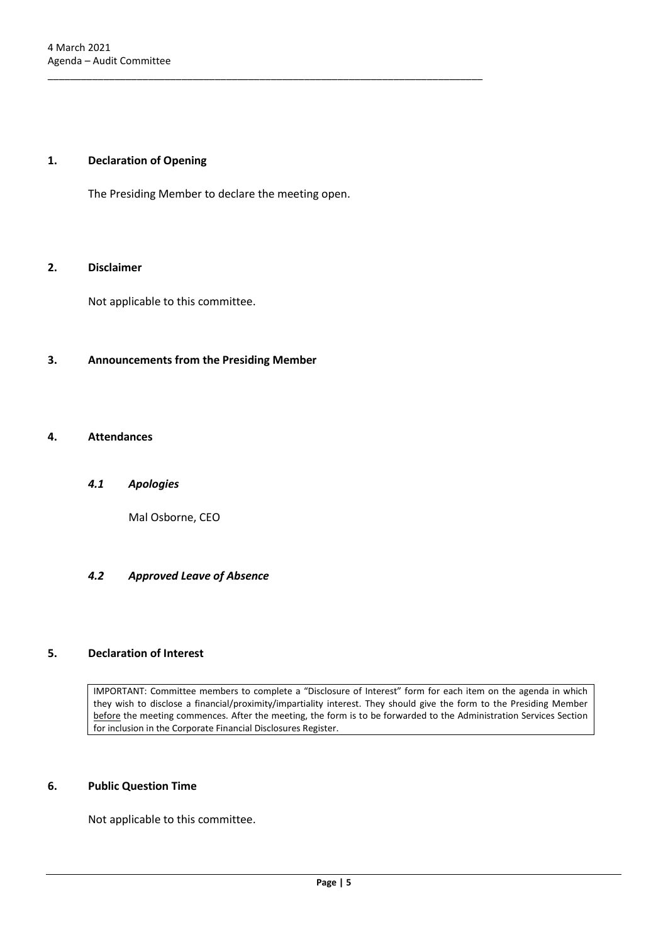#### <span id="page-4-0"></span>**1. Declaration of Opening**

The Presiding Member to declare the meeting open.

\_\_\_\_\_\_\_\_\_\_\_\_\_\_\_\_\_\_\_\_\_\_\_\_\_\_\_\_\_\_\_\_\_\_\_\_\_\_\_\_\_\_\_\_\_\_\_\_\_\_\_\_\_\_\_\_\_\_\_\_\_\_\_\_\_\_\_\_\_\_\_\_\_\_\_\_\_\_

#### <span id="page-4-1"></span>**2. Disclaimer**

Not applicable to this committee.

#### <span id="page-4-2"></span>**3. Announcements from the Presiding Member**

#### <span id="page-4-4"></span><span id="page-4-3"></span>**4. Attendances**

#### *4.1 Apologies*

Mal Osborne, CEO

#### <span id="page-4-5"></span>*4.2 Approved Leave of Absence*

#### <span id="page-4-6"></span>**5. Declaration of Interest**

IMPORTANT: Committee members to complete a "Disclosure of Interest" form for each item on the agenda in which they wish to disclose a financial/proximity/impartiality interest. They should give the form to the Presiding Member before the meeting commences. After the meeting, the form is to be forwarded to the Administration Services Section for inclusion in the Corporate Financial Disclosures Register.

#### <span id="page-4-7"></span>**6. Public Question Time**

Not applicable to this committee.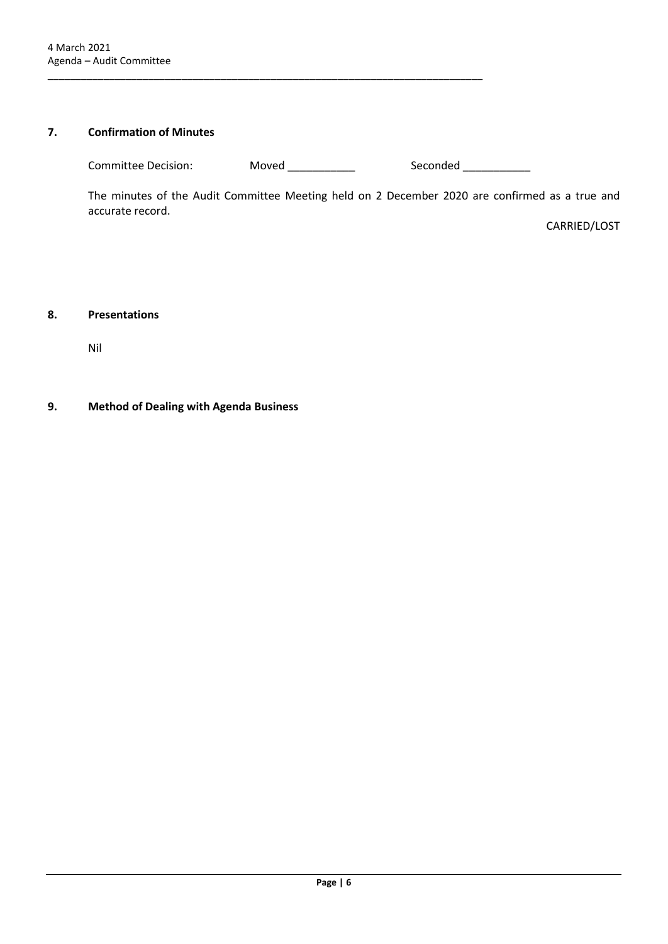### <span id="page-5-0"></span>**7. Confirmation of Minutes**

Committee Decision: Moved \_\_\_\_\_\_\_\_\_\_\_ Seconded \_\_\_\_\_\_\_\_\_\_

\_\_\_\_\_\_\_\_\_\_\_\_\_\_\_\_\_\_\_\_\_\_\_\_\_\_\_\_\_\_\_\_\_\_\_\_\_\_\_\_\_\_\_\_\_\_\_\_\_\_\_\_\_\_\_\_\_\_\_\_\_\_\_\_\_\_\_\_\_\_\_\_\_\_\_\_\_\_

The minutes of the Audit Committee Meeting held on 2 December 2020 are confirmed as a true and accurate record.

CARRIED/LOST

#### <span id="page-5-1"></span>**8. Presentations**

Nil

#### <span id="page-5-2"></span>**9. Method of Dealing with Agenda Business**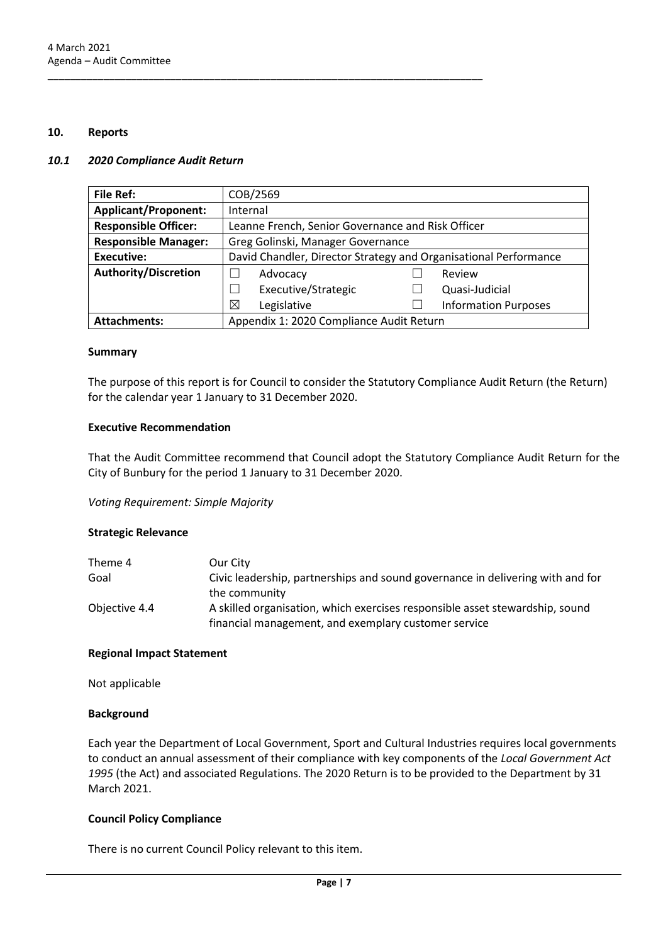#### <span id="page-6-0"></span>**10. Reports**

#### <span id="page-6-1"></span>*10.1 2020 Compliance Audit Return*

| <b>File Ref:</b>            | COB/2569                                                         |  |                             |
|-----------------------------|------------------------------------------------------------------|--|-----------------------------|
| <b>Applicant/Proponent:</b> | Internal                                                         |  |                             |
| <b>Responsible Officer:</b> | Leanne French, Senior Governance and Risk Officer                |  |                             |
| <b>Responsible Manager:</b> | Greg Golinski, Manager Governance                                |  |                             |
| <b>Executive:</b>           | David Chandler, Director Strategy and Organisational Performance |  |                             |
| <b>Authority/Discretion</b> | Advocacy                                                         |  | Review                      |
|                             | Executive/Strategic                                              |  | Quasi-Judicial              |
|                             | Legislative<br>⊠                                                 |  | <b>Information Purposes</b> |
| <b>Attachments:</b>         | Appendix 1: 2020 Compliance Audit Return                         |  |                             |

\_\_\_\_\_\_\_\_\_\_\_\_\_\_\_\_\_\_\_\_\_\_\_\_\_\_\_\_\_\_\_\_\_\_\_\_\_\_\_\_\_\_\_\_\_\_\_\_\_\_\_\_\_\_\_\_\_\_\_\_\_\_\_\_\_\_\_\_\_\_\_\_\_\_\_\_\_\_

#### **Summary**

The purpose of this report is for Council to consider the Statutory Compliance Audit Return (the Return) for the calendar year 1 January to 31 December 2020.

#### **Executive Recommendation**

That the Audit Committee recommend that Council adopt the Statutory Compliance Audit Return for the City of Bunbury for the period 1 January to 31 December 2020.

*Voting Requirement: Simple Majority* 

#### **Strategic Relevance**

| Theme 4       | Our City                                                                       |
|---------------|--------------------------------------------------------------------------------|
| Goal          | Civic leadership, partnerships and sound governance in delivering with and for |
|               | the community                                                                  |
| Objective 4.4 | A skilled organisation, which exercises responsible asset stewardship, sound   |
|               | financial management, and exemplary customer service                           |

#### **Regional Impact Statement**

Not applicable

#### **Background**

Each year the Department of Local Government, Sport and Cultural Industries requires local governments to conduct an annual assessment of their compliance with key components of the *Local Government Act 1995* (the Act) and associated Regulations. The 2020 Return is to be provided to the Department by 31 March 2021.

#### **Council Policy Compliance**

There is no current Council Policy relevant to this item.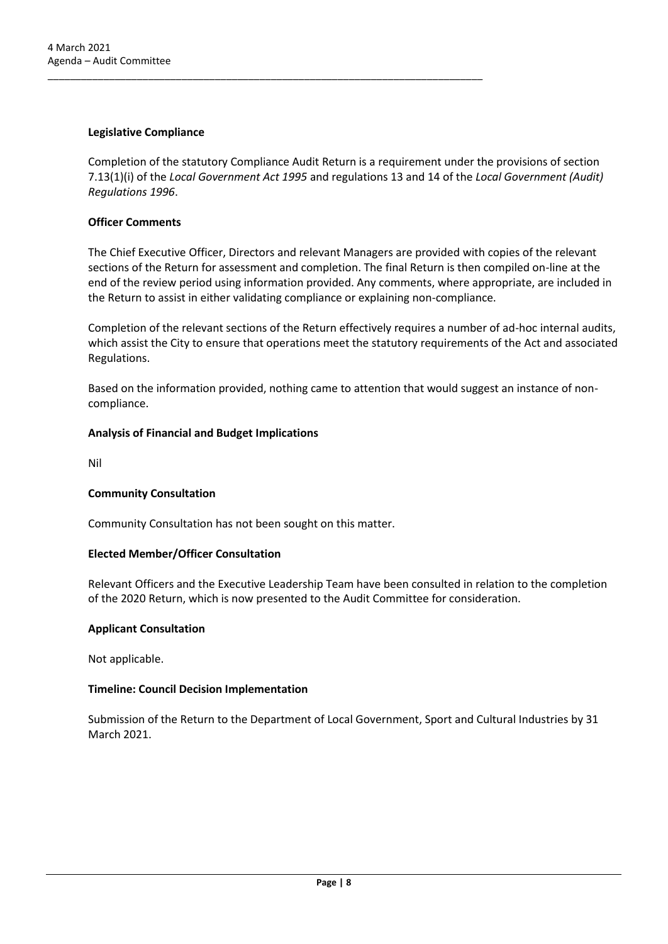#### **Legislative Compliance**

Completion of the statutory Compliance Audit Return is a requirement under the provisions of section 7.13(1)(i) of the *Local Government Act 1995* and regulations 13 and 14 of the *Local Government (Audit) Regulations 1996*.

\_\_\_\_\_\_\_\_\_\_\_\_\_\_\_\_\_\_\_\_\_\_\_\_\_\_\_\_\_\_\_\_\_\_\_\_\_\_\_\_\_\_\_\_\_\_\_\_\_\_\_\_\_\_\_\_\_\_\_\_\_\_\_\_\_\_\_\_\_\_\_\_\_\_\_\_\_\_

#### **Officer Comments**

The Chief Executive Officer, Directors and relevant Managers are provided with copies of the relevant sections of the Return for assessment and completion. The final Return is then compiled on-line at the end of the review period using information provided. Any comments, where appropriate, are included in the Return to assist in either validating compliance or explaining non-compliance.

Completion of the relevant sections of the Return effectively requires a number of ad-hoc internal audits, which assist the City to ensure that operations meet the statutory requirements of the Act and associated Regulations.

Based on the information provided, nothing came to attention that would suggest an instance of noncompliance.

#### **Analysis of Financial and Budget Implications**

Nil

#### **Community Consultation**

Community Consultation has not been sought on this matter.

#### **Elected Member/Officer Consultation**

Relevant Officers and the Executive Leadership Team have been consulted in relation to the completion of the 2020 Return, which is now presented to the Audit Committee for consideration.

#### **Applicant Consultation**

Not applicable.

#### **Timeline: Council Decision Implementation**

Submission of the Return to the Department of Local Government, Sport and Cultural Industries by 31 March 2021.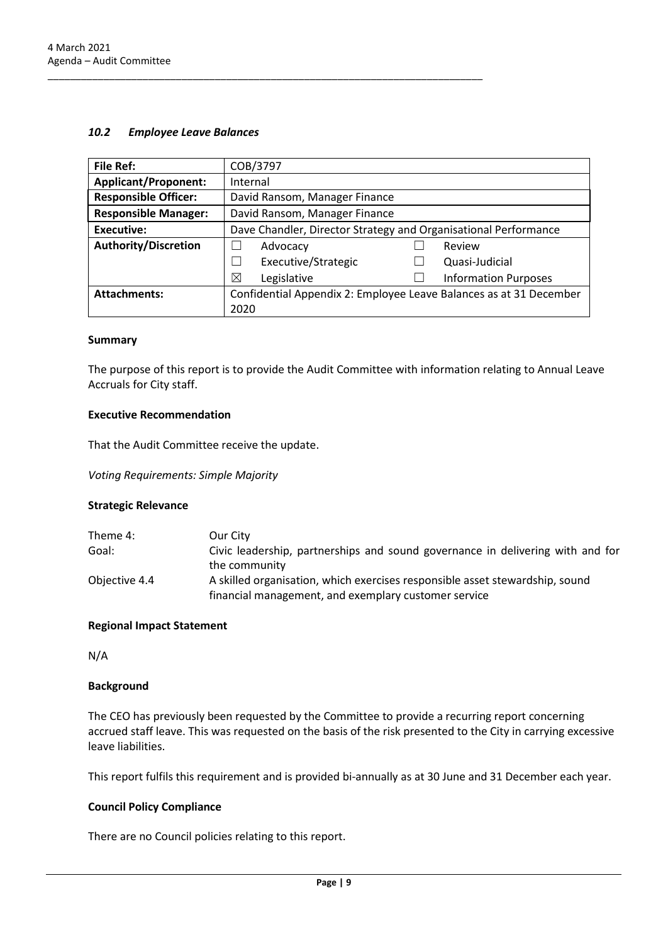#### <span id="page-8-0"></span>*10.2 Employee Leave Balances*

\_\_\_\_\_\_\_\_\_\_\_\_\_\_\_\_\_\_\_\_\_\_\_\_\_\_\_\_\_\_\_\_\_\_\_\_\_\_\_\_\_\_\_\_\_\_\_\_\_\_\_\_\_\_\_\_\_\_\_\_\_\_\_\_\_\_\_\_\_\_\_\_\_\_\_\_\_\_

| <b>File Ref:</b>            | COB/3797                                                           |  |                             |
|-----------------------------|--------------------------------------------------------------------|--|-----------------------------|
| <b>Applicant/Proponent:</b> | Internal                                                           |  |                             |
| <b>Responsible Officer:</b> | David Ransom, Manager Finance                                      |  |                             |
| <b>Responsible Manager:</b> | David Ransom, Manager Finance                                      |  |                             |
| <b>Executive:</b>           | Dave Chandler, Director Strategy and Organisational Performance    |  |                             |
| <b>Authority/Discretion</b> | Advocacy                                                           |  | Review                      |
|                             | Executive/Strategic<br>$\blacksquare$                              |  | Quasi-Judicial              |
|                             | ⊠<br>Legislative                                                   |  | <b>Information Purposes</b> |
| <b>Attachments:</b>         | Confidential Appendix 2: Employee Leave Balances as at 31 December |  |                             |
|                             | 2020                                                               |  |                             |

#### **Summary**

The purpose of this report is to provide the Audit Committee with information relating to Annual Leave Accruals for City staff.

#### **Executive Recommendation**

That the Audit Committee receive the update.

*Voting Requirements: Simple Majority*

#### **Strategic Relevance**

| Theme 4:      | Our City                                                                       |
|---------------|--------------------------------------------------------------------------------|
| Goal:         | Civic leadership, partnerships and sound governance in delivering with and for |
|               | the community                                                                  |
| Objective 4.4 | A skilled organisation, which exercises responsible asset stewardship, sound   |
|               | financial management, and exemplary customer service                           |

#### **Regional Impact Statement**

N/A

#### **Background**

The CEO has previously been requested by the Committee to provide a recurring report concerning accrued staff leave. This was requested on the basis of the risk presented to the City in carrying excessive leave liabilities.

This report fulfils this requirement and is provided bi-annually as at 30 June and 31 December each year.

#### **Council Policy Compliance**

There are no Council policies relating to this report.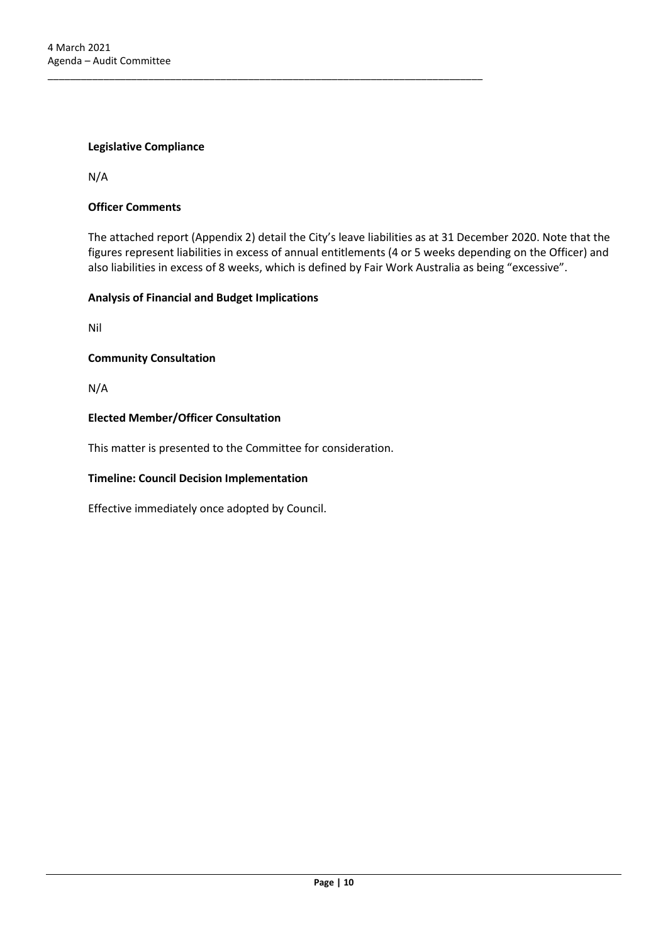#### **Legislative Compliance**

N/A

#### **Officer Comments**

The attached report (Appendix 2) detail the City's leave liabilities as at 31 December 2020. Note that the figures represent liabilities in excess of annual entitlements (4 or 5 weeks depending on the Officer) and also liabilities in excess of 8 weeks, which is defined by Fair Work Australia as being "excessive".

#### **Analysis of Financial and Budget Implications**

Nil

#### **Community Consultation**

N/A

#### **Elected Member/Officer Consultation**

This matter is presented to the Committee for consideration.

\_\_\_\_\_\_\_\_\_\_\_\_\_\_\_\_\_\_\_\_\_\_\_\_\_\_\_\_\_\_\_\_\_\_\_\_\_\_\_\_\_\_\_\_\_\_\_\_\_\_\_\_\_\_\_\_\_\_\_\_\_\_\_\_\_\_\_\_\_\_\_\_\_\_\_\_\_\_

#### **Timeline: Council Decision Implementation**

Effective immediately once adopted by Council.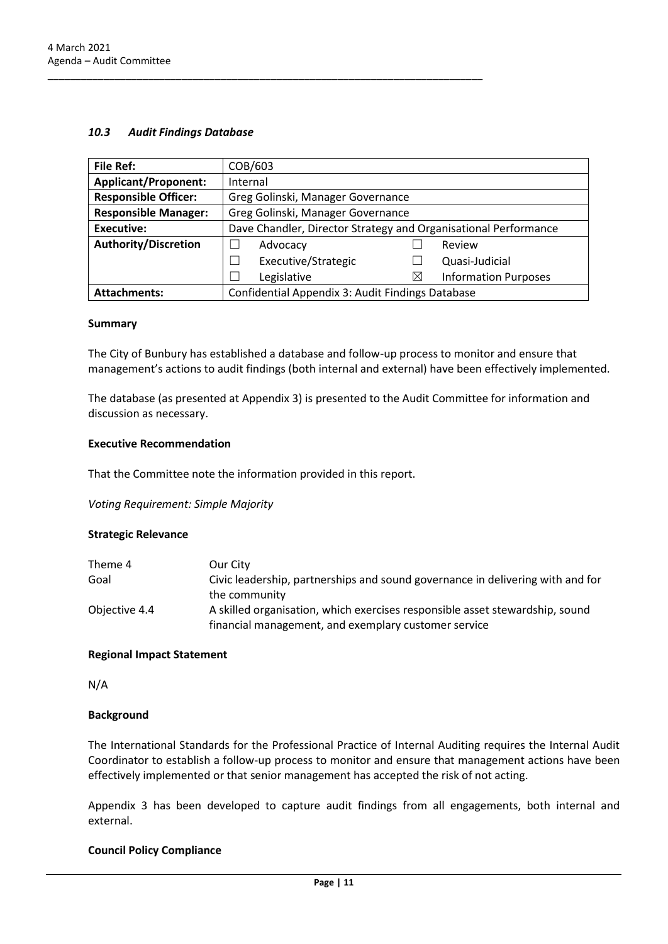#### <span id="page-10-0"></span>*10.3 Audit Findings Database*

| <b>File Ref:</b>            | COB/603                                                         |          |                             |
|-----------------------------|-----------------------------------------------------------------|----------|-----------------------------|
| <b>Applicant/Proponent:</b> | Internal                                                        |          |                             |
| <b>Responsible Officer:</b> | Greg Golinski, Manager Governance                               |          |                             |
| <b>Responsible Manager:</b> | Greg Golinski, Manager Governance                               |          |                             |
| <b>Executive:</b>           | Dave Chandler, Director Strategy and Organisational Performance |          |                             |
| <b>Authority/Discretion</b> | Advocacy                                                        |          | Review                      |
|                             | Executive/Strategic                                             |          | Quasi-Judicial              |
|                             | Legislative                                                     | $\times$ | <b>Information Purposes</b> |
| <b>Attachments:</b>         | Confidential Appendix 3: Audit Findings Database                |          |                             |

#### **Summary**

The City of Bunbury has established a database and follow-up process to monitor and ensure that management's actions to audit findings (both internal and external) have been effectively implemented.

The database (as presented at Appendix 3) is presented to the Audit Committee for information and discussion as necessary.

#### **Executive Recommendation**

That the Committee note the information provided in this report.

\_\_\_\_\_\_\_\_\_\_\_\_\_\_\_\_\_\_\_\_\_\_\_\_\_\_\_\_\_\_\_\_\_\_\_\_\_\_\_\_\_\_\_\_\_\_\_\_\_\_\_\_\_\_\_\_\_\_\_\_\_\_\_\_\_\_\_\_\_\_\_\_\_\_\_\_\_\_

*Voting Requirement: Simple Majority*

#### **Strategic Relevance**

| Theme 4       | Our City                                                                       |
|---------------|--------------------------------------------------------------------------------|
| Goal          | Civic leadership, partnerships and sound governance in delivering with and for |
|               | the community                                                                  |
| Objective 4.4 | A skilled organisation, which exercises responsible asset stewardship, sound   |
|               | financial management, and exemplary customer service                           |

#### **Regional Impact Statement**

N/A

#### **Background**

The International Standards for the Professional Practice of Internal Auditing requires the Internal Audit Coordinator to establish a follow-up process to monitor and ensure that management actions have been effectively implemented or that senior management has accepted the risk of not acting.

Appendix 3 has been developed to capture audit findings from all engagements, both internal and external.

#### **Council Policy Compliance**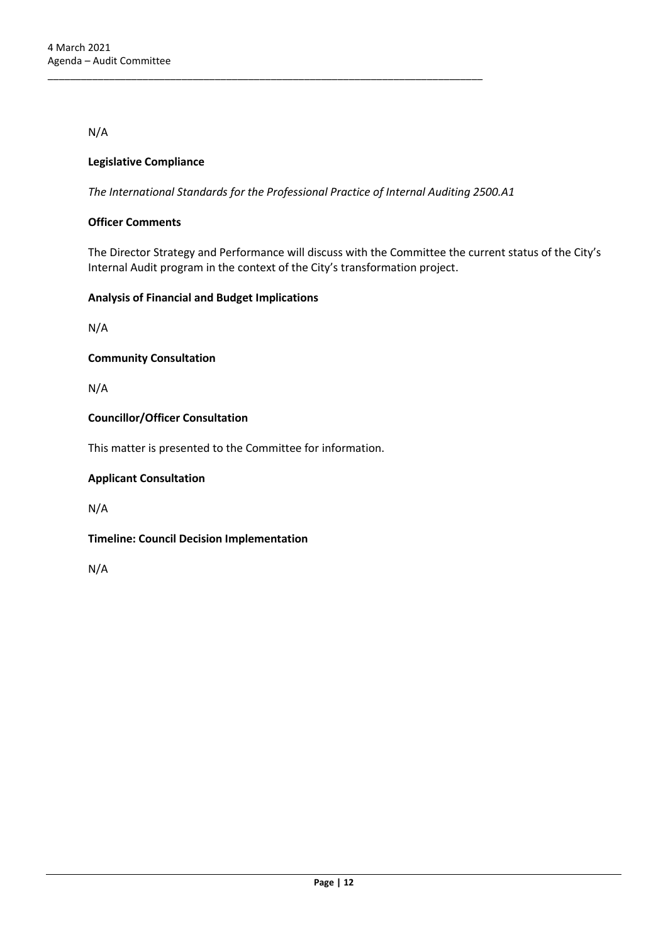N/A

#### **Legislative Compliance**

*The International Standards for the Professional Practice of Internal Auditing 2500.A1*

\_\_\_\_\_\_\_\_\_\_\_\_\_\_\_\_\_\_\_\_\_\_\_\_\_\_\_\_\_\_\_\_\_\_\_\_\_\_\_\_\_\_\_\_\_\_\_\_\_\_\_\_\_\_\_\_\_\_\_\_\_\_\_\_\_\_\_\_\_\_\_\_\_\_\_\_\_\_

#### **Officer Comments**

The Director Strategy and Performance will discuss with the Committee the current status of the City's Internal Audit program in the context of the City's transformation project.

#### **Analysis of Financial and Budget Implications**

N/A

**Community Consultation**

N/A

#### **Councillor/Officer Consultation**

This matter is presented to the Committee for information.

#### **Applicant Consultation**

N/A

**Timeline: Council Decision Implementation**

N/A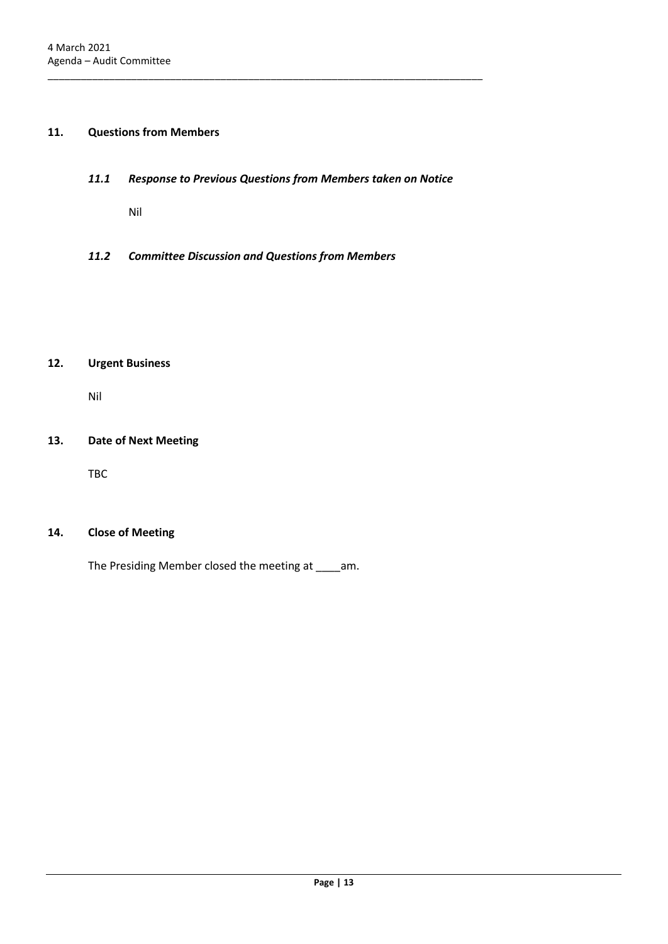### <span id="page-12-1"></span><span id="page-12-0"></span>**11. Questions from Members**

#### *11.1 Response to Previous Questions from Members taken on Notice*

\_\_\_\_\_\_\_\_\_\_\_\_\_\_\_\_\_\_\_\_\_\_\_\_\_\_\_\_\_\_\_\_\_\_\_\_\_\_\_\_\_\_\_\_\_\_\_\_\_\_\_\_\_\_\_\_\_\_\_\_\_\_\_\_\_\_\_\_\_\_\_\_\_\_\_\_\_\_

Nil

<span id="page-12-2"></span>*11.2 Committee Discussion and Questions from Members* 

### <span id="page-12-3"></span>**12. Urgent Business**

Nil

#### <span id="page-12-4"></span>**13. Date of Next Meeting**

TBC

#### <span id="page-12-5"></span>**14. Close of Meeting**

The Presiding Member closed the meeting at \_\_\_\_am.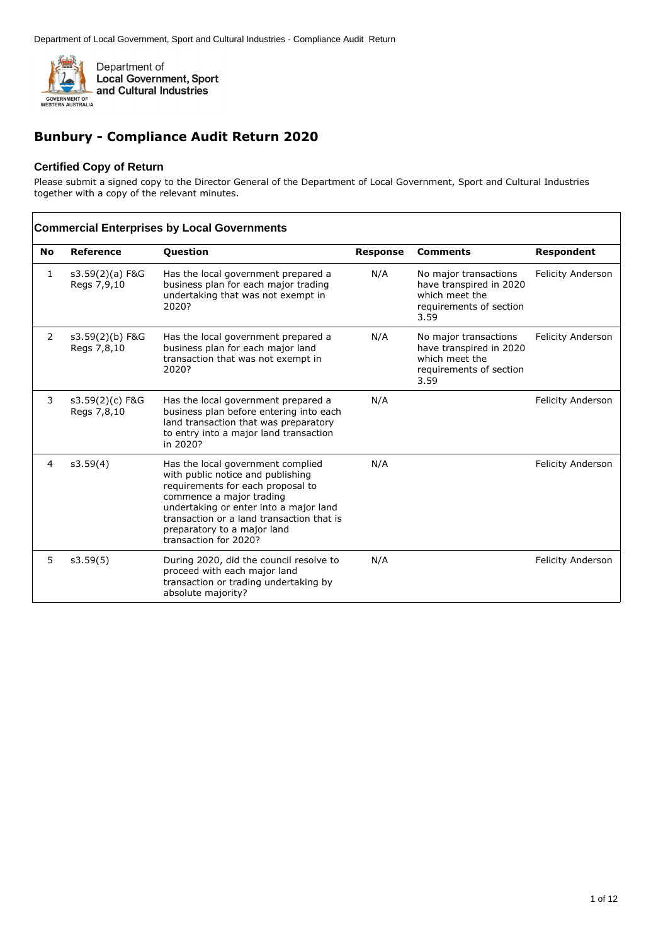

# **Bunbury - Compliance Audit Return 2020**

#### **Certified Copy of Return**

Please submit a signed copy to the Director General of the Department of Local Government, Sport and Cultural Industries together with a copy of the relevant minutes.

|                | <b>Commercial Enterprises by Local Governments</b> |                                                                                                                                                                                                                                                                                        |                 |                                                                                                       |                          |  |  |
|----------------|----------------------------------------------------|----------------------------------------------------------------------------------------------------------------------------------------------------------------------------------------------------------------------------------------------------------------------------------------|-----------------|-------------------------------------------------------------------------------------------------------|--------------------------|--|--|
| <b>No</b>      | Reference                                          | Question                                                                                                                                                                                                                                                                               | <b>Response</b> | <b>Comments</b>                                                                                       | Respondent               |  |  |
| 1              | s3.59(2)(a) F&G<br>Regs 7,9,10                     | Has the local government prepared a<br>business plan for each major trading<br>undertaking that was not exempt in<br>2020?                                                                                                                                                             | N/A             | No major transactions<br>have transpired in 2020<br>which meet the<br>requirements of section<br>3.59 | <b>Felicity Anderson</b> |  |  |
| 2              | s3.59(2)(b) F&G<br>Regs 7,8,10                     | Has the local government prepared a<br>business plan for each major land<br>transaction that was not exempt in<br>2020?                                                                                                                                                                | N/A             | No major transactions<br>have transpired in 2020<br>which meet the<br>requirements of section<br>3.59 | <b>Felicity Anderson</b> |  |  |
| 3              | s3.59(2)(c) F&G<br>Regs 7,8,10                     | Has the local government prepared a<br>business plan before entering into each<br>land transaction that was preparatory<br>to entry into a major land transaction<br>in 2020?                                                                                                          | N/A             |                                                                                                       | <b>Felicity Anderson</b> |  |  |
| $\overline{4}$ | s3.59(4)                                           | Has the local government complied<br>with public notice and publishing<br>requirements for each proposal to<br>commence a major trading<br>undertaking or enter into a major land<br>transaction or a land transaction that is<br>preparatory to a major land<br>transaction for 2020? | N/A             |                                                                                                       | <b>Felicity Anderson</b> |  |  |
| 5              | s3.59(5)                                           | During 2020, did the council resolve to<br>proceed with each major land<br>transaction or trading undertaking by<br>absolute majority?                                                                                                                                                 | N/A             |                                                                                                       | <b>Felicity Anderson</b> |  |  |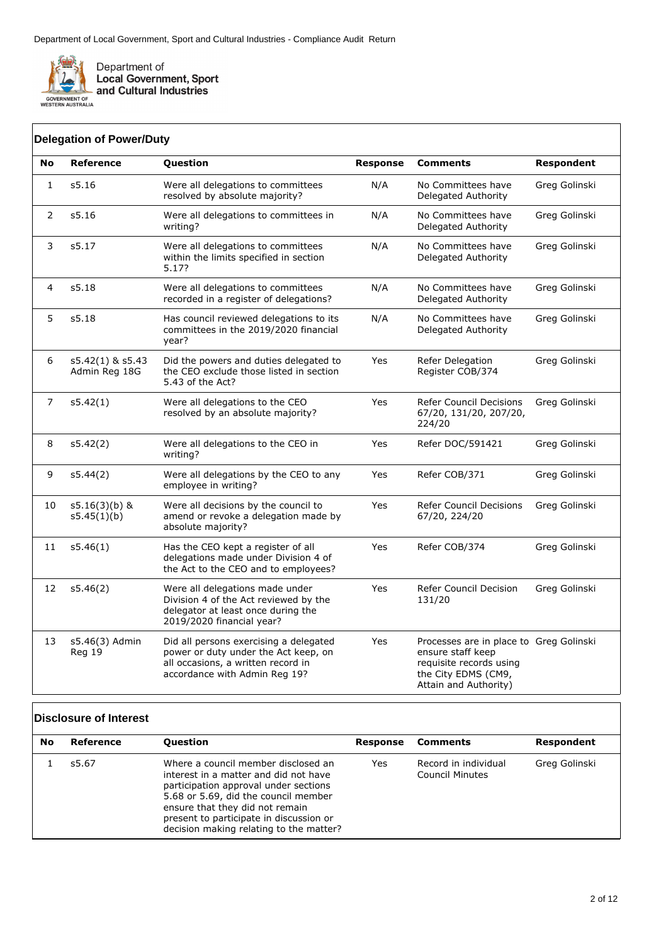

**Local Government, Sport** and Cultural Industries

11 s5.46(1) Has the CEO kept a register of all

12 s5.46(2) Were all delegations made under

delegations made under Division 4 of the Act to the CEO and to employees?

Division 4 of the Act reviewed by the delegator at least once during the 2019/2020 financial year?

Did all persons exercising a delegated power or duty under the Act keep, on all occasions, a written record in accordance with Admin Reg 19?

#### **No Reference Question Response Comments Respondent** 1 s5.16 Were all delegations to committees resolved by absolute majority? N/A No Committees have Delegated Authority Greg Golinski 2 s5.16 Were all delegations to committees in writing? N/A No Committees have Delegated Authority Greg Golinski 3 s5.17 Were all delegations to committees within the limits specified in section 5.17? N/A No Committees have Delegated Authority Greg Golinski 4 s5.18 Were all delegations to committees recorded in a register of delegations? N/A No Committees have Delegated Authority Greg Golinski 5 s5.18 Has council reviewed delegations to its committees in the 2019/2020 financial year? N/A No Committees have Delegated Authority Greg Golinski 6 s5.42(1) & s5.43 Admin Reg 18G Did the powers and duties delegated to the CEO exclude those listed in section 5.43 of the Act? Yes Refer Delegation Register COB/374 Greg Golinski 7 s5.42(1) Were all delegations to the CEO resolved by an absolute majority? Yes Refer Council Decisions 67/20, 131/20, 207/20, 224/20 Greg Golinski 8 s5.42(2) Were all delegations to the CEO in writing? Yes Refer DOC/591421 Greg Golinski 9 s5.44(2) Were all delegations by the CEO to any employee in writing? Yes Refer COB/371 Greg Golinski 10 s5.16(3)(b) & s5.45(1)(b) Were all decisions by the council to amend or revoke a delegation made by absolute majority? Yes Refer Council Decisions 67/20, 224/20 Greg Golinski **Delegation of Power/Duty**

#### **Disclosure of Interest**

13 s5.46(3) Admin Reg 19

| No | Reference | <b>Question</b>                                                                                                                                                                                                                                                                        | Response | Comments                                | Respondent    |
|----|-----------|----------------------------------------------------------------------------------------------------------------------------------------------------------------------------------------------------------------------------------------------------------------------------------------|----------|-----------------------------------------|---------------|
|    | s5.67     | Where a council member disclosed an<br>interest in a matter and did not have<br>participation approval under sections<br>5.68 or 5.69, did the council member<br>ensure that they did not remain<br>present to participate in discussion or<br>decision making relating to the matter? | Yes      | Record in individual<br>Council Minutes | Greg Golinski |

Yes Refer COB/374 Greg Golinski

Yes Processes are in place to Greg Golinski

Greg Golinski

Yes Refer Council Decision 131/20

> ensure staff keep requisite records using the City EDMS (CM9, Attain and Authority)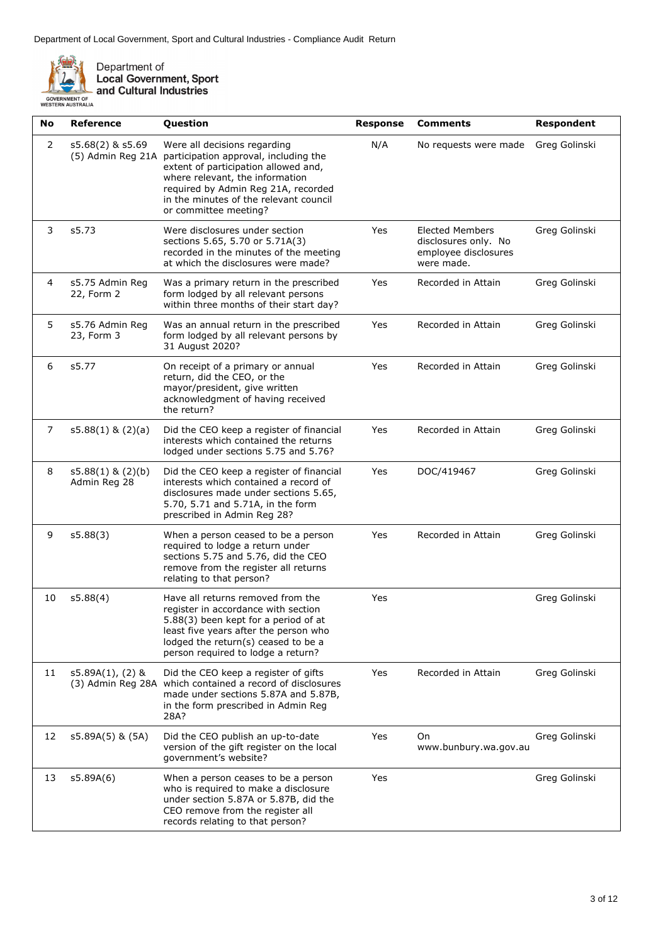

Department of<br>Local Government, Sport<br>and Cultural Industries

| No | Reference                             | Question                                                                                                                                                                                                                                                   | <b>Response</b> | <b>Comments</b>                                                                      | <b>Respondent</b> |
|----|---------------------------------------|------------------------------------------------------------------------------------------------------------------------------------------------------------------------------------------------------------------------------------------------------------|-----------------|--------------------------------------------------------------------------------------|-------------------|
| 2  | s5.68(2) & s5.69<br>(5) Admin Reg 21A | Were all decisions regarding<br>participation approval, including the<br>extent of participation allowed and,<br>where relevant, the information<br>required by Admin Reg 21A, recorded<br>in the minutes of the relevant council<br>or committee meeting? | N/A             | No requests were made                                                                | Greg Golinski     |
| 3  | s5.73                                 | Were disclosures under section<br>sections 5.65, 5.70 or 5.71A(3)<br>recorded in the minutes of the meeting<br>at which the disclosures were made?                                                                                                         | Yes             | <b>Elected Members</b><br>disclosures only. No<br>employee disclosures<br>were made. | Greg Golinski     |
| 4  | s5.75 Admin Reg<br>22, Form 2         | Was a primary return in the prescribed<br>form lodged by all relevant persons<br>within three months of their start day?                                                                                                                                   | Yes             | Recorded in Attain                                                                   | Greg Golinski     |
| 5  | s5.76 Admin Reg<br>23, Form 3         | Was an annual return in the prescribed<br>form lodged by all relevant persons by<br>31 August 2020?                                                                                                                                                        | Yes             | Recorded in Attain                                                                   | Greg Golinski     |
| 6  | s5.77                                 | On receipt of a primary or annual<br>return, did the CEO, or the<br>mayor/president, give written<br>acknowledgment of having received<br>the return?                                                                                                      | Yes             | Recorded in Attain                                                                   | Greg Golinski     |
| 7  | $s5.88(1)$ & $(2)(a)$                 | Did the CEO keep a register of financial<br>interests which contained the returns<br>lodged under sections 5.75 and 5.76?                                                                                                                                  | Yes             | Recorded in Attain                                                                   | Greg Golinski     |
| 8  | $s5.88(1)$ & $(2)(b)$<br>Admin Reg 28 | Did the CEO keep a register of financial<br>interests which contained a record of<br>disclosures made under sections 5.65,<br>5.70, 5.71 and 5.71A, in the form<br>prescribed in Admin Reg 28?                                                             | Yes             | DOC/419467                                                                           | Greg Golinski     |
| 9  | s5.88(3)                              | When a person ceased to be a person<br>required to lodge a return under<br>sections 5.75 and 5.76, did the CEO<br>remove from the register all returns<br>relating to that person?                                                                         | Yes             | Recorded in Attain                                                                   | Greg Golinski     |
| 10 | s5.88(4)                              | Have all returns removed from the<br>register in accordance with section<br>5.88(3) been kept for a period of at<br>least five years after the person who<br>lodged the return(s) ceased to be a<br>person required to lodge a return?                     | Yes             |                                                                                      | Greg Golinski     |
| 11 | $s5.89A(1)$ , (2) &                   | Did the CEO keep a register of gifts<br>(3) Admin Reg 28A which contained a record of disclosures<br>made under sections 5.87A and 5.87B,<br>in the form prescribed in Admin Reg<br>28A?                                                                   | Yes             | Recorded in Attain                                                                   | Greg Golinski     |
| 12 | s5.89A(5) & (5A)                      | Did the CEO publish an up-to-date<br>version of the gift register on the local<br>government's website?                                                                                                                                                    | Yes             | On<br>www.bunbury.wa.gov.au                                                          | Greg Golinski     |
| 13 | s5.89A(6)                             | When a person ceases to be a person<br>who is required to make a disclosure<br>under section 5.87A or 5.87B, did the<br>CEO remove from the register all<br>records relating to that person?                                                               | Yes             |                                                                                      | Greg Golinski     |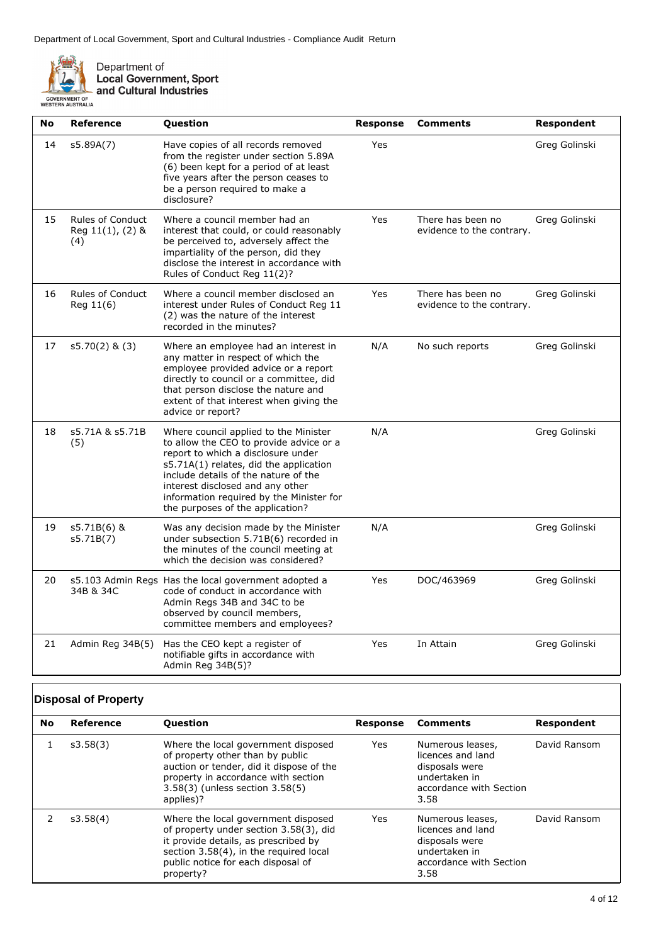

Department of<br>Local Government, Sport<br>and Cultural Industries

| No | <b>Reference</b>                                   | Question                                                                                                                                                                                                                                                                                                                     | <b>Response</b> | <b>Comments</b>                                | Respondent    |
|----|----------------------------------------------------|------------------------------------------------------------------------------------------------------------------------------------------------------------------------------------------------------------------------------------------------------------------------------------------------------------------------------|-----------------|------------------------------------------------|---------------|
| 14 | s5.89A(7)                                          | Have copies of all records removed<br>from the register under section 5.89A<br>(6) been kept for a period of at least<br>five years after the person ceases to<br>be a person required to make a<br>disclosure?                                                                                                              | Yes             |                                                | Greg Golinski |
| 15 | <b>Rules of Conduct</b><br>Reg 11(1), (2) &<br>(4) | Where a council member had an<br>interest that could, or could reasonably<br>be perceived to, adversely affect the<br>impartiality of the person, did they<br>disclose the interest in accordance with<br>Rules of Conduct Reg 11(2)?                                                                                        | Yes             | There has been no<br>evidence to the contrary. | Greg Golinski |
| 16 | <b>Rules of Conduct</b><br>Reg 11(6)               | Where a council member disclosed an<br>interest under Rules of Conduct Reg 11<br>(2) was the nature of the interest<br>recorded in the minutes?                                                                                                                                                                              | Yes             | There has been no<br>evidence to the contrary. | Greg Golinski |
| 17 | $s5.70(2)$ & (3)                                   | Where an employee had an interest in<br>any matter in respect of which the<br>employee provided advice or a report<br>directly to council or a committee, did<br>that person disclose the nature and<br>extent of that interest when giving the<br>advice or report?                                                         | N/A             | No such reports                                | Greg Golinski |
| 18 | s5.71A & s5.71B<br>(5)                             | Where council applied to the Minister<br>to allow the CEO to provide advice or a<br>report to which a disclosure under<br>s5.71A(1) relates, did the application<br>include details of the nature of the<br>interest disclosed and any other<br>information required by the Minister for<br>the purposes of the application? | N/A             |                                                | Greg Golinski |
| 19 | s5.71B(6) &<br>s5.71B(7)                           | Was any decision made by the Minister<br>under subsection 5.71B(6) recorded in<br>the minutes of the council meeting at<br>which the decision was considered?                                                                                                                                                                | N/A             |                                                | Greg Golinski |
| 20 | 34B & 34C                                          | s5.103 Admin Regs Has the local government adopted a<br>code of conduct in accordance with<br>Admin Regs 34B and 34C to be<br>observed by council members,<br>committee members and employees?                                                                                                                               | Yes             | DOC/463969                                     | Greg Golinski |
| 21 | Admin Reg 34B(5)                                   | Has the CEO kept a register of<br>notifiable gifts in accordance with<br>Admin Reg 34B(5)?                                                                                                                                                                                                                                   | Yes             | In Attain                                      | Greg Golinski |

### **Disposal of Property**

| <b>No</b> | Reference | <b>Ouestion</b>                                                                                                                                                                                                    |      | <b>Response Comments</b>                                                                                    | Respondent   |
|-----------|-----------|--------------------------------------------------------------------------------------------------------------------------------------------------------------------------------------------------------------------|------|-------------------------------------------------------------------------------------------------------------|--------------|
|           | s3.58(3)  | Where the local government disposed<br>of property other than by public<br>auction or tender, did it dispose of the<br>property in accordance with section<br>3.58(3) (unless section 3.58(5)<br>applies)?         | Yes  | Numerous leases,<br>licences and land<br>disposals were<br>undertaken in<br>accordance with Section<br>3.58 | David Ransom |
|           | s3.58(4)  | Where the local government disposed<br>of property under section 3.58(3), did<br>it provide details, as prescribed by<br>section 3.58(4), in the required local<br>public notice for each disposal of<br>property? | Yes. | Numerous leases,<br>licences and land<br>disposals were<br>undertaken in<br>accordance with Section<br>3.58 | David Ransom |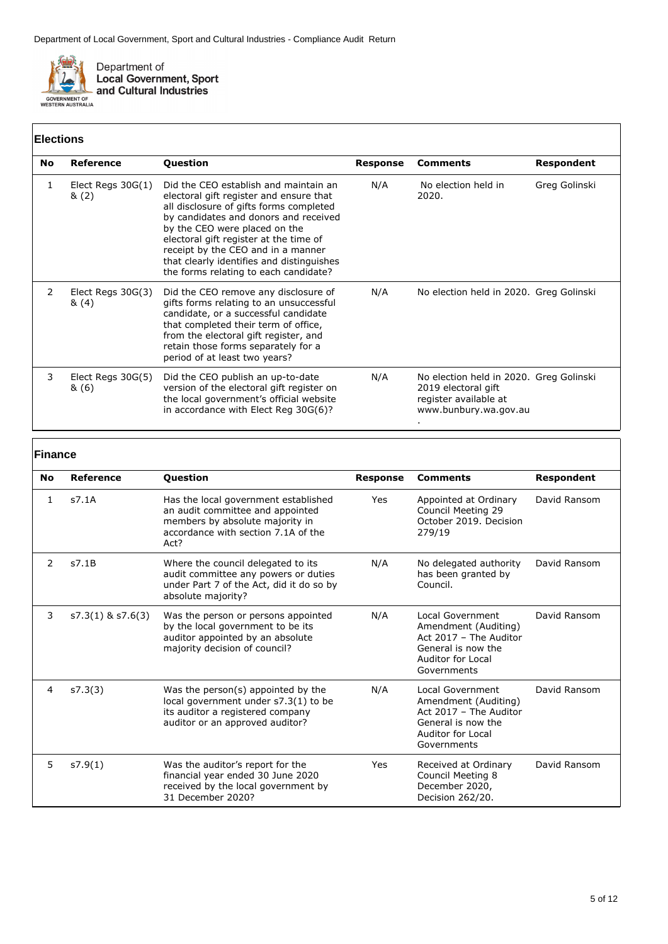

# **Elections**

|    | EIGCHONS                    |                                                                                                                                                                                                                                                                                                                                                                             |          |                                                                                                                  |               |  |
|----|-----------------------------|-----------------------------------------------------------------------------------------------------------------------------------------------------------------------------------------------------------------------------------------------------------------------------------------------------------------------------------------------------------------------------|----------|------------------------------------------------------------------------------------------------------------------|---------------|--|
| No | Reference                   | <b>Question</b>                                                                                                                                                                                                                                                                                                                                                             | Response | <b>Comments</b>                                                                                                  | Respondent    |  |
| 1  | Elect Regs $30G(1)$<br>8(2) | Did the CEO establish and maintain an<br>electoral gift register and ensure that<br>all disclosure of gifts forms completed<br>by candidates and donors and received<br>by the CEO were placed on the<br>electoral gift register at the time of<br>receipt by the CEO and in a manner<br>that clearly identifies and distinguishes<br>the forms relating to each candidate? | N/A      | No election held in<br>2020.                                                                                     | Greg Golinski |  |
| 2  | Elect Regs $30G(3)$<br>&(4) | Did the CEO remove any disclosure of<br>gifts forms relating to an unsuccessful<br>candidate, or a successful candidate<br>that completed their term of office,<br>from the electoral gift register, and<br>retain those forms separately for a<br>period of at least two years?                                                                                            | N/A      | No election held in 2020. Greg Golinski                                                                          |               |  |
| 3  | Elect Regs 30G(5)<br>& (6)  | Did the CEO publish an up-to-date<br>version of the electoral gift register on<br>the local government's official website<br>in accordance with Elect Reg 30G(6)?                                                                                                                                                                                                           | N/A      | No election held in 2020. Greg Golinski<br>2019 electoral gift<br>register available at<br>www.bunbury.wa.gov.au |               |  |

#### **Finance**

| <b>No</b>     | Reference             | <b>Question</b>                                                                                                                                            | <b>Response</b> | <b>Comments</b>                                                                                                              | <b>Respondent</b> |
|---------------|-----------------------|------------------------------------------------------------------------------------------------------------------------------------------------------------|-----------------|------------------------------------------------------------------------------------------------------------------------------|-------------------|
| 1             | s7.1A                 | Has the local government established<br>an audit committee and appointed<br>members by absolute majority in<br>accordance with section 7.1A of the<br>Act? | Yes             | Appointed at Ordinary<br>Council Meeting 29<br>October 2019. Decision<br>279/19                                              | David Ransom      |
| $\mathcal{P}$ | s7.1B                 | Where the council delegated to its<br>audit committee any powers or duties<br>under Part 7 of the Act, did it do so by<br>absolute majority?               | N/A             | No delegated authority<br>has been granted by<br>Council.                                                                    | David Ransom      |
| 3             | $s7.3(1)$ & $s7.6(3)$ | Was the person or persons appointed<br>by the local government to be its<br>auditor appointed by an absolute<br>majority decision of council?              | N/A             | Local Government<br>Amendment (Auditing)<br>Act 2017 - The Auditor<br>General is now the<br>Auditor for Local<br>Governments | David Ransom      |
| 4             | s7.3(3)               | Was the person(s) appointed by the<br>local government under s7.3(1) to be<br>its auditor a registered company<br>auditor or an approved auditor?          | N/A             | Local Government<br>Amendment (Auditing)<br>Act 2017 - The Auditor<br>General is now the<br>Auditor for Local<br>Governments | David Ransom      |
| 5             | s7.9(1)               | Was the auditor's report for the<br>financial year ended 30 June 2020<br>received by the local government by<br>31 December 2020?                          | Yes             | Received at Ordinary<br>Council Meeting 8<br>December 2020,<br>Decision 262/20.                                              | David Ransom      |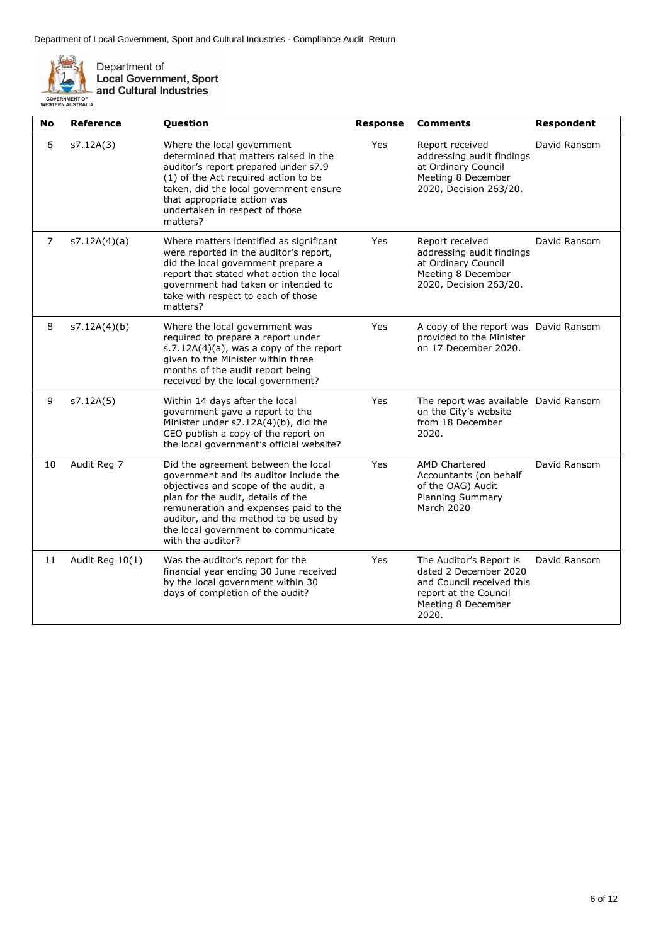

Department of<br>Local Government, Sport<br>and Cultural Industries

| No             | <b>Reference</b> | Question                                                                                                                                                                                                                                                                                                  | <b>Response</b> | <b>Comments</b>                                                                                                                       | <b>Respondent</b> |
|----------------|------------------|-----------------------------------------------------------------------------------------------------------------------------------------------------------------------------------------------------------------------------------------------------------------------------------------------------------|-----------------|---------------------------------------------------------------------------------------------------------------------------------------|-------------------|
| 6              | s7.12A(3)        | Where the local government<br>determined that matters raised in the<br>auditor's report prepared under s7.9<br>(1) of the Act required action to be<br>taken, did the local government ensure<br>that appropriate action was<br>undertaken in respect of those<br>matters?                                | Yes             | Report received<br>addressing audit findings<br>at Ordinary Council<br>Meeting 8 December<br>2020, Decision 263/20.                   | David Ransom      |
| $\overline{7}$ | s7.12A(4)(a)     | Where matters identified as significant<br>were reported in the auditor's report,<br>did the local government prepare a<br>report that stated what action the local<br>government had taken or intended to<br>take with respect to each of those<br>matters?                                              | Yes             | Report received<br>addressing audit findings<br>at Ordinary Council<br>Meeting 8 December<br>2020, Decision 263/20.                   | David Ransom      |
| 8              | s7.12A(4)(b)     | Where the local government was<br>required to prepare a report under<br>$s.7.12A(4)(a)$ , was a copy of the report<br>given to the Minister within three<br>months of the audit report being<br>received by the local government?                                                                         | Yes             | A copy of the report was David Ransom<br>provided to the Minister<br>on 17 December 2020.                                             |                   |
| 9              | s7.12A(5)        | Within 14 days after the local<br>government gave a report to the<br>Minister under s7.12A(4)(b), did the<br>CEO publish a copy of the report on<br>the local government's official website?                                                                                                              | Yes             | The report was available David Ransom<br>on the City's website<br>from 18 December<br>2020.                                           |                   |
| 10             | Audit Reg 7      | Did the agreement between the local<br>government and its auditor include the<br>objectives and scope of the audit, a<br>plan for the audit, details of the<br>remuneration and expenses paid to the<br>auditor, and the method to be used by<br>the local government to communicate<br>with the auditor? | Yes             | <b>AMD Chartered</b><br>Accountants (on behalf<br>of the OAG) Audit<br><b>Planning Summary</b><br><b>March 2020</b>                   | David Ransom      |
| 11             | Audit Reg 10(1)  | Was the auditor's report for the<br>financial year ending 30 June received<br>by the local government within 30<br>days of completion of the audit?                                                                                                                                                       | Yes             | The Auditor's Report is<br>dated 2 December 2020<br>and Council received this<br>report at the Council<br>Meeting 8 December<br>2020. | David Ransom      |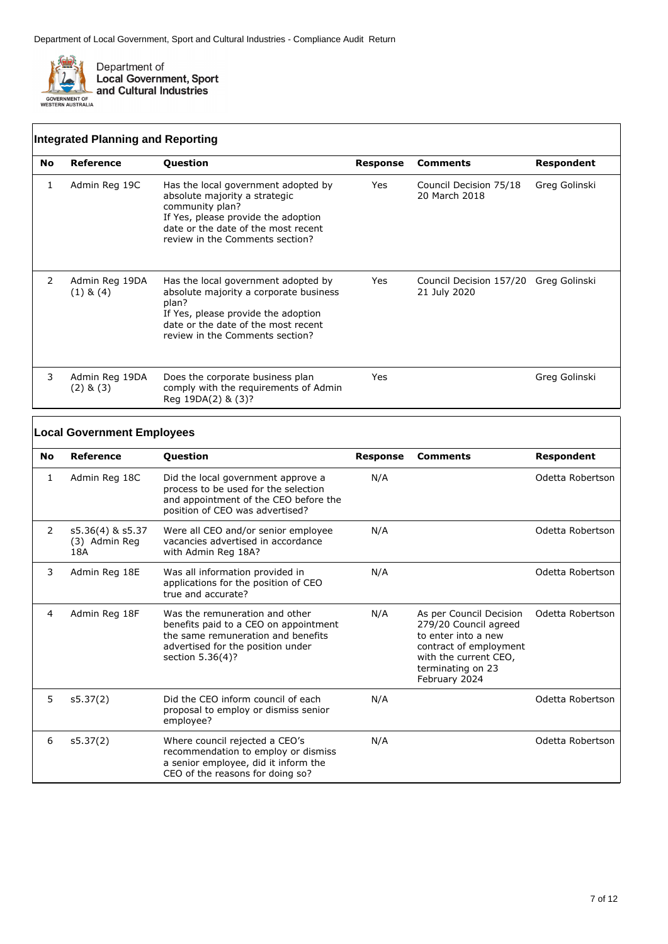

|           | <b>Integrated Planning and Reporting</b> |                                                                                                                                                                                                          |          |                                                       |               |  |  |
|-----------|------------------------------------------|----------------------------------------------------------------------------------------------------------------------------------------------------------------------------------------------------------|----------|-------------------------------------------------------|---------------|--|--|
| <b>No</b> | Reference                                | Question                                                                                                                                                                                                 | Response | <b>Comments</b>                                       | Respondent    |  |  |
| 1         | Admin Reg 19C                            | Has the local government adopted by<br>absolute majority a strategic<br>community plan?<br>If Yes, please provide the adoption<br>date or the date of the most recent<br>review in the Comments section? | Yes      | Council Decision 75/18<br>20 March 2018               | Greg Golinski |  |  |
| 2         | Admin Reg 19DA<br>$(1)$ & $(4)$          | Has the local government adopted by<br>absolute majority a corporate business<br>plan?<br>If Yes, please provide the adoption<br>date or the date of the most recent<br>review in the Comments section?  | Yes      | Council Decision 157/20 Greg Golinski<br>21 July 2020 |               |  |  |
| 3         | Admin Reg 19DA<br>$(2)$ & $(3)$          | Does the corporate business plan<br>comply with the requirements of Admin<br>Reg 19DA(2) & (3)?                                                                                                          | Yes      |                                                       | Greg Golinski |  |  |

### **Local Government Employees**

| No. | <b>Reference</b>                         | <b>Question</b>                                                                                                                                                        | <b>Response</b> | <b>Comments</b>                                                                                                                                                  | Respondent       |
|-----|------------------------------------------|------------------------------------------------------------------------------------------------------------------------------------------------------------------------|-----------------|------------------------------------------------------------------------------------------------------------------------------------------------------------------|------------------|
| 1   | Admin Reg 18C                            | Did the local government approve a<br>process to be used for the selection<br>and appointment of the CEO before the<br>position of CEO was advertised?                 | N/A             |                                                                                                                                                                  | Odetta Robertson |
| 2   | s5.36(4) & s5.37<br>(3) Admin Reg<br>18A | Were all CEO and/or senior employee<br>vacancies advertised in accordance<br>with Admin Reg 18A?                                                                       | N/A             |                                                                                                                                                                  | Odetta Robertson |
| 3   | Admin Reg 18E                            | Was all information provided in<br>applications for the position of CEO<br>true and accurate?                                                                          | N/A             |                                                                                                                                                                  | Odetta Robertson |
| 4   | Admin Reg 18F                            | Was the remuneration and other<br>benefits paid to a CEO on appointment<br>the same remuneration and benefits<br>advertised for the position under<br>section 5.36(4)? | N/A             | As per Council Decision<br>279/20 Council agreed<br>to enter into a new<br>contract of employment<br>with the current CEO,<br>terminating on 23<br>February 2024 | Odetta Robertson |
| 5.  | s5.37(2)                                 | Did the CEO inform council of each<br>proposal to employ or dismiss senior<br>employee?                                                                                | N/A             |                                                                                                                                                                  | Odetta Robertson |
| 6   | s5.37(2)                                 | Where council rejected a CEO's<br>recommendation to employ or dismiss<br>a senior employee, did it inform the<br>CEO of the reasons for doing so?                      | N/A             |                                                                                                                                                                  | Odetta Robertson |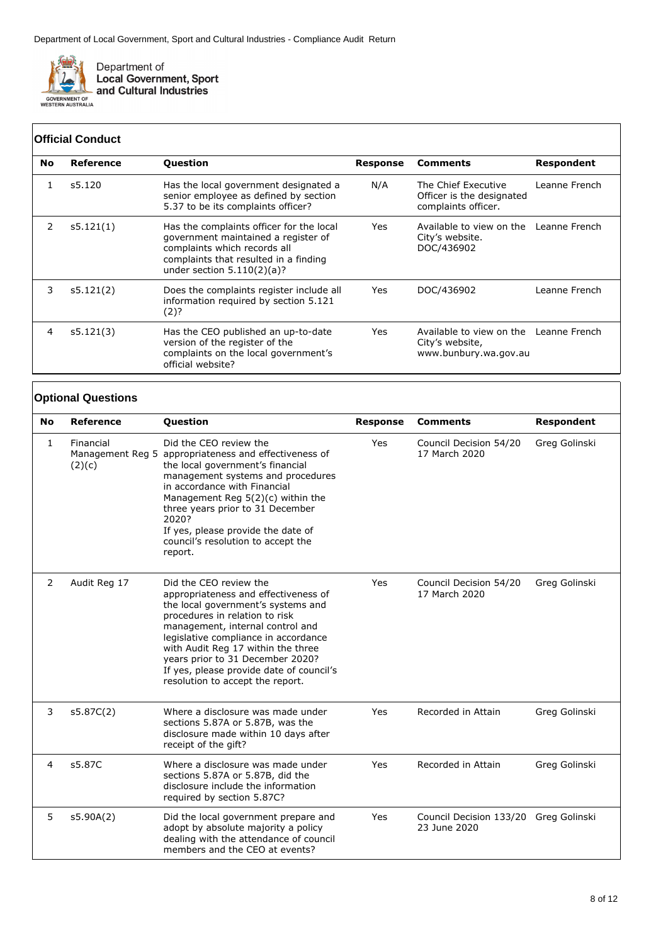

## **Official Conduct**

| <b>No</b> | Reference | <b>Question</b>                                                                                                                                                                          | Response | <b>Comments</b>                                                                    | <b>Respondent</b> |
|-----------|-----------|------------------------------------------------------------------------------------------------------------------------------------------------------------------------------------------|----------|------------------------------------------------------------------------------------|-------------------|
|           | s5.120    | Has the local government designated a<br>senior employee as defined by section<br>5.37 to be its complaints officer?                                                                     | N/A      | The Chief Executive<br>Officer is the designated<br>complaints officer.            | Leanne French     |
| 2         | s5.121(1) | Has the complaints officer for the local<br>government maintained a register of<br>complaints which records all<br>complaints that resulted in a finding<br>under section $5.110(2)(a)?$ | Yes      | Available to view on the Leanne French<br>City's website.<br>DOC/436902            |                   |
| 3         | s5.121(2) | Does the complaints register include all<br>information required by section 5.121<br>(2)?                                                                                                | Yes.     | DOC/436902                                                                         | Leanne French     |
| 4         | s5.121(3) | Has the CEO published an up-to-date<br>version of the register of the<br>complaints on the local government's<br>official website?                                                       | Yes      | Available to view on the Leanne French<br>City's website,<br>www.bunbury.wa.gov.au |                   |

#### **Optional Questions**

| <b>No</b>      | Reference           | Question                                                                                                                                                                                                                                                                                                                                                                     | <b>Response</b> | <b>Comments</b>                                       | Respondent    |
|----------------|---------------------|------------------------------------------------------------------------------------------------------------------------------------------------------------------------------------------------------------------------------------------------------------------------------------------------------------------------------------------------------------------------------|-----------------|-------------------------------------------------------|---------------|
| $\mathbf{1}$   | Financial<br>(2)(c) | Did the CEO review the<br>Management Reg 5 appropriateness and effectiveness of<br>the local government's financial<br>management systems and procedures<br>in accordance with Financial<br>Management Reg $5(2)(c)$ within the<br>three years prior to 31 December<br>2020?<br>If yes, please provide the date of<br>council's resolution to accept the<br>report.          | Yes             | Council Decision 54/20<br>17 March 2020               | Greg Golinski |
| 2              | Audit Reg 17        | Did the CEO review the<br>appropriateness and effectiveness of<br>the local government's systems and<br>procedures in relation to risk<br>management, internal control and<br>legislative compliance in accordance<br>with Audit Reg 17 within the three<br>years prior to 31 December 2020?<br>If yes, please provide date of council's<br>resolution to accept the report. | Yes             | Council Decision 54/20<br>17 March 2020               | Greg Golinski |
| 3              | s5.87C(2)           | Where a disclosure was made under<br>sections 5.87A or 5.87B, was the<br>disclosure made within 10 days after<br>receipt of the gift?                                                                                                                                                                                                                                        | Yes             | Recorded in Attain                                    | Greg Golinski |
| $\overline{4}$ | s5.87C              | Where a disclosure was made under<br>sections 5.87A or 5.87B, did the<br>disclosure include the information<br>required by section 5.87C?                                                                                                                                                                                                                                    | Yes             | Recorded in Attain                                    | Greg Golinski |
| 5              | s5.90A(2)           | Did the local government prepare and<br>adopt by absolute majority a policy<br>dealing with the attendance of council<br>members and the CEO at events?                                                                                                                                                                                                                      | Yes             | Council Decision 133/20 Greg Golinski<br>23 June 2020 |               |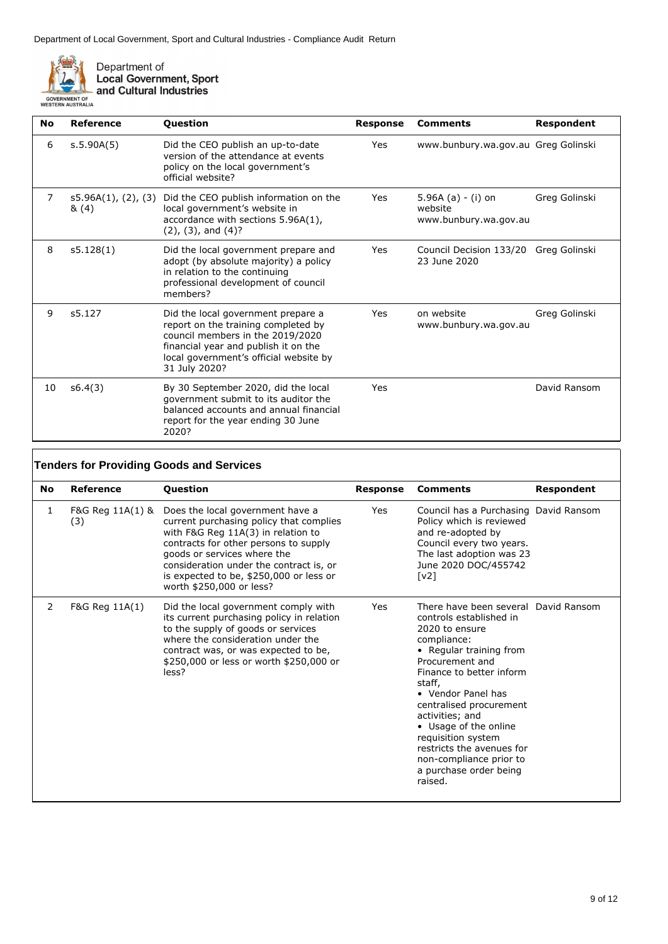

Department of<br>Local Government, Sport<br>and Cultural Industries

| No | Reference                   | Question                                                                                                                                                                                                         | <b>Response</b> | <b>Comments</b>                                          | Respondent    |
|----|-----------------------------|------------------------------------------------------------------------------------------------------------------------------------------------------------------------------------------------------------------|-----------------|----------------------------------------------------------|---------------|
| 6  | s.5.90A(5)                  | Did the CEO publish an up-to-date<br>version of the attendance at events<br>policy on the local government's<br>official website?                                                                                | <b>Yes</b>      | www.bunbury.wa.gov.au Greg Golinski                      |               |
| 7  | s5.96A(1), (2), (3)<br>&(4) | Did the CEO publish information on the<br>local government's website in<br>accordance with sections 5.96A(1),<br>$(2)$ , $(3)$ , and $(4)$ ?                                                                     | Yes             | 5.96A $(a) - (i)$ on<br>website<br>www.bunbury.wa.gov.au | Greg Golinski |
| 8  | s5.128(1)                   | Did the local government prepare and<br>adopt (by absolute majority) a policy<br>in relation to the continuing<br>professional development of council<br>members?                                                | Yes             | Council Decision 133/20 Greg Golinski<br>23 June 2020    |               |
| 9  | s5.127                      | Did the local government prepare a<br>report on the training completed by<br>council members in the 2019/2020<br>financial year and publish it on the<br>local government's official website by<br>31 July 2020? | Yes             | on website<br>www.bunbury.wa.gov.au                      | Greg Golinski |
| 10 | s6.4(3)                     | By 30 September 2020, did the local<br>government submit to its auditor the<br>balanced accounts and annual financial<br>report for the year ending 30 June<br>2020?                                             | Yes             |                                                          | David Ransom  |

|           | <b>Tenders for Providing Goods and Services</b> |                                                                                                                                                                                                                                                                                                             |                 |                                                                                                                                                                                                                                                                                                                                                                                                      |            |  |
|-----------|-------------------------------------------------|-------------------------------------------------------------------------------------------------------------------------------------------------------------------------------------------------------------------------------------------------------------------------------------------------------------|-----------------|------------------------------------------------------------------------------------------------------------------------------------------------------------------------------------------------------------------------------------------------------------------------------------------------------------------------------------------------------------------------------------------------------|------------|--|
| <b>No</b> | Reference                                       | <b>Question</b>                                                                                                                                                                                                                                                                                             | <b>Response</b> | <b>Comments</b>                                                                                                                                                                                                                                                                                                                                                                                      | Respondent |  |
| 1         | F&G Reg 11A(1) &<br>(3)                         | Does the local government have a<br>current purchasing policy that complies<br>with F&G Reg 11A(3) in relation to<br>contracts for other persons to supply<br>goods or services where the<br>consideration under the contract is, or<br>is expected to be, \$250,000 or less or<br>worth \$250,000 or less? | Yes             | Council has a Purchasing David Ransom<br>Policy which is reviewed<br>and re-adopted by<br>Council every two years.<br>The last adoption was 23<br>June 2020 DOC/455742<br>$\lceil v^2 \rceil$                                                                                                                                                                                                        |            |  |
| 2         | F&G Reg 11A(1)                                  | Did the local government comply with<br>its current purchasing policy in relation<br>to the supply of goods or services<br>where the consideration under the<br>contract was, or was expected to be,<br>\$250,000 or less or worth \$250,000 or<br>less?                                                    | Yes             | There have been several David Ransom<br>controls established in<br>2020 to ensure<br>compliance:<br>• Regular training from<br>Procurement and<br>Finance to better inform<br>staff,<br>• Vendor Panel has<br>centralised procurement<br>activities; and<br>• Usage of the online<br>requisition system<br>restricts the avenues for<br>non-compliance prior to<br>a purchase order being<br>raised. |            |  |

 $\overline{\mathsf{I}}$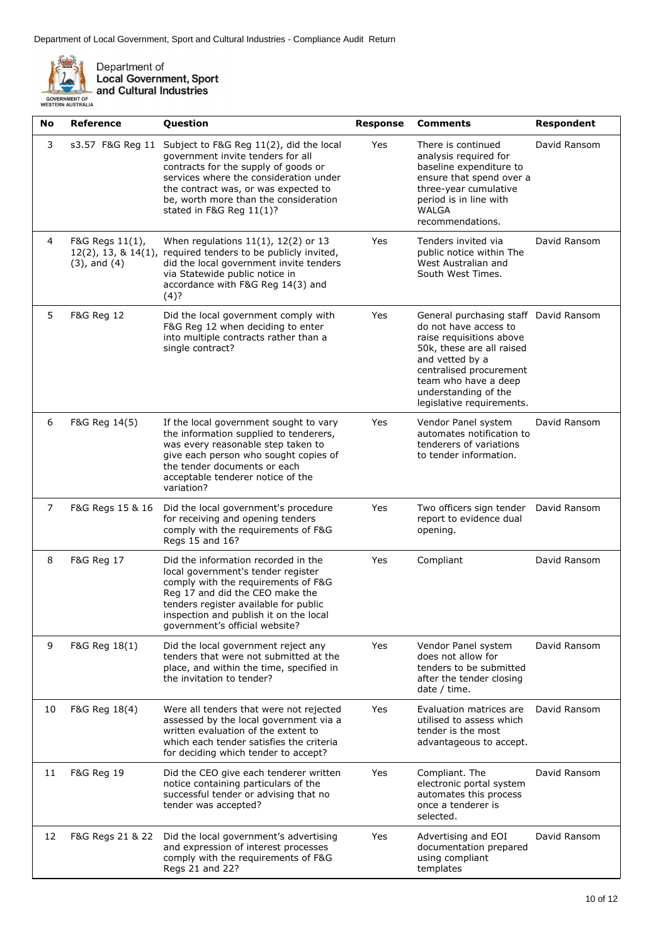

Department of<br>Local Government, Sport<br>and Cultural Industries

| <b>No</b>      | <b>Reference</b>                                                  | Question                                                                                                                                                                                                                                                                    | <b>Response</b> | <b>Comments</b>                                                                                                                                                                                                                                    | <b>Respondent</b> |
|----------------|-------------------------------------------------------------------|-----------------------------------------------------------------------------------------------------------------------------------------------------------------------------------------------------------------------------------------------------------------------------|-----------------|----------------------------------------------------------------------------------------------------------------------------------------------------------------------------------------------------------------------------------------------------|-------------------|
| 3              | s3.57 F&G Reg 11                                                  | Subject to F&G Reg 11(2), did the local<br>government invite tenders for all<br>contracts for the supply of goods or<br>services where the consideration under<br>the contract was, or was expected to<br>be, worth more than the consideration<br>stated in F&G Reg 11(1)? | Yes             | There is continued<br>analysis required for<br>baseline expenditure to<br>ensure that spend over a<br>three-year cumulative<br>period is in line with<br><b>WALGA</b><br>recommendations.                                                          | David Ransom      |
| 4              | F&G Regs 11(1),<br>$12(2)$ , 13, & $14(1)$ ,<br>$(3)$ , and $(4)$ | When regulations $11(1)$ , $12(2)$ or 13<br>required tenders to be publicly invited,<br>did the local government invite tenders<br>via Statewide public notice in<br>accordance with F&G Reg 14(3) and<br>(4)?                                                              | Yes             | Tenders invited via<br>public notice within The<br>West Australian and<br>South West Times.                                                                                                                                                        | David Ransom      |
| 5              | <b>F&amp;G Reg 12</b>                                             | Did the local government comply with<br>F&G Reg 12 when deciding to enter<br>into multiple contracts rather than a<br>single contract?                                                                                                                                      | Yes             | General purchasing staff David Ransom<br>do not have access to<br>raise requisitions above<br>50k, these are all raised<br>and vetted by a<br>centralised procurement<br>team who have a deep<br>understanding of the<br>legislative requirements. |                   |
| 6              | F&G Reg 14(5)                                                     | If the local government sought to vary<br>the information supplied to tenderers,<br>was every reasonable step taken to<br>give each person who sought copies of<br>the tender documents or each<br>acceptable tenderer notice of the<br>variation?                          | Yes             | Vendor Panel system<br>automates notification to<br>tenderers of variations<br>to tender information.                                                                                                                                              | David Ransom      |
| $\overline{7}$ | F&G Regs 15 & 16                                                  | Did the local government's procedure<br>for receiving and opening tenders<br>comply with the requirements of F&G<br>Regs 15 and 16?                                                                                                                                         | Yes             | Two officers sign tender<br>report to evidence dual<br>opening.                                                                                                                                                                                    | David Ransom      |
| 8              | F&G Reg 17                                                        | Did the information recorded in the<br>local government's tender register<br>comply with the requirements of F&G<br>Reg 17 and did the CEO make the<br>tenders register available for public<br>inspection and publish it on the local<br>government's official website?    | Yes             | Compliant                                                                                                                                                                                                                                          | David Ransom      |
| 9              | F&G Reg 18(1)                                                     | Did the local government reject any<br>tenders that were not submitted at the<br>place, and within the time, specified in<br>the invitation to tender?                                                                                                                      | Yes             | Vendor Panel system<br>does not allow for<br>tenders to be submitted<br>after the tender closing<br>date / time.                                                                                                                                   | David Ransom      |
| 10             | F&G Reg 18(4)                                                     | Were all tenders that were not rejected<br>assessed by the local government via a<br>written evaluation of the extent to<br>which each tender satisfies the criteria<br>for deciding which tender to accept?                                                                | Yes             | Evaluation matrices are<br>utilised to assess which<br>tender is the most<br>advantageous to accept.                                                                                                                                               | David Ransom      |
| 11             | F&G Reg 19                                                        | Did the CEO give each tenderer written<br>notice containing particulars of the<br>successful tender or advising that no<br>tender was accepted?                                                                                                                             | Yes             | Compliant. The<br>electronic portal system<br>automates this process<br>once a tenderer is<br>selected.                                                                                                                                            | David Ransom      |
| 12             | F&G Regs 21 & 22                                                  | Did the local government's advertising<br>and expression of interest processes<br>comply with the requirements of F&G<br>Regs 21 and 22?                                                                                                                                    | Yes             | Advertising and EOI<br>documentation prepared<br>using compliant<br>templates                                                                                                                                                                      | David Ransom      |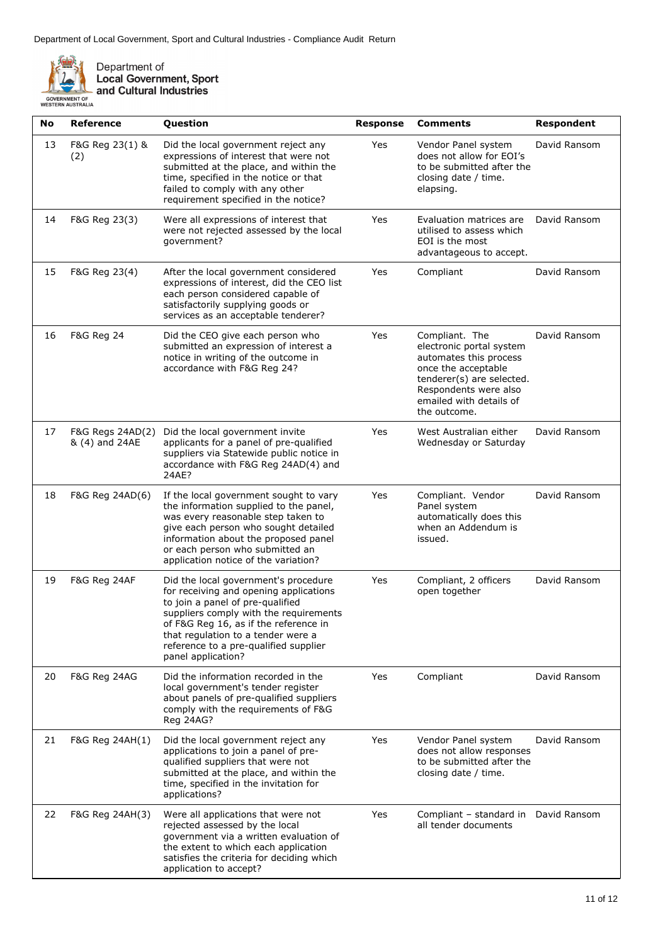

Department of<br>Local Government, Sport<br>and Cultural Industries

| No | <b>Reference</b>                   | Question                                                                                                                                                                                                                                                                                                   | <b>Response</b> | <b>Comments</b>                                                                                                                                                                              | <b>Respondent</b> |
|----|------------------------------------|------------------------------------------------------------------------------------------------------------------------------------------------------------------------------------------------------------------------------------------------------------------------------------------------------------|-----------------|----------------------------------------------------------------------------------------------------------------------------------------------------------------------------------------------|-------------------|
| 13 | F&G Reg 23(1) &<br>(2)             | Did the local government reject any<br>expressions of interest that were not<br>submitted at the place, and within the<br>time, specified in the notice or that<br>failed to comply with any other<br>requirement specified in the notice?                                                                 | Yes             | Vendor Panel system<br>does not allow for EOI's<br>to be submitted after the<br>closing date / time.<br>elapsing.                                                                            | David Ransom      |
| 14 | F&G Reg 23(3)                      | Were all expressions of interest that<br>were not rejected assessed by the local<br>government?                                                                                                                                                                                                            | Yes             | Evaluation matrices are<br>utilised to assess which<br>EOI is the most<br>advantageous to accept.                                                                                            | David Ransom      |
| 15 | F&G Reg 23(4)                      | After the local government considered<br>expressions of interest, did the CEO list<br>each person considered capable of<br>satisfactorily supplying goods or<br>services as an acceptable tenderer?                                                                                                        | Yes             | Compliant                                                                                                                                                                                    | David Ransom      |
| 16 | <b>F&amp;G Reg 24</b>              | Did the CEO give each person who<br>submitted an expression of interest a<br>notice in writing of the outcome in<br>accordance with F&G Reg 24?                                                                                                                                                            | Yes             | Compliant. The<br>electronic portal system<br>automates this process<br>once the acceptable<br>tenderer(s) are selected.<br>Respondents were also<br>emailed with details of<br>the outcome. | David Ransom      |
| 17 | F&G Regs 24AD(2)<br>& (4) and 24AE | Did the local government invite<br>applicants for a panel of pre-qualified<br>suppliers via Statewide public notice in<br>accordance with F&G Reg 24AD(4) and<br>24AE?                                                                                                                                     | Yes             | West Australian either<br>Wednesday or Saturday                                                                                                                                              | David Ransom      |
| 18 | F&G Reg 24AD(6)                    | If the local government sought to vary<br>the information supplied to the panel,<br>was every reasonable step taken to<br>give each person who sought detailed<br>information about the proposed panel<br>or each person who submitted an<br>application notice of the variation?                          | Yes             | Compliant. Vendor<br>Panel system<br>automatically does this<br>when an Addendum is<br>issued.                                                                                               | David Ransom      |
| 19 | F&G Reg 24AF                       | Did the local government's procedure<br>for receiving and opening applications<br>to join a panel of pre-qualified<br>suppliers comply with the requirements<br>of F&G Reg 16, as if the reference in<br>that regulation to a tender were a<br>reference to a pre-qualified supplier<br>panel application? | Yes             | Compliant, 2 officers<br>open together                                                                                                                                                       | David Ransom      |
| 20 | F&G Reg 24AG                       | Did the information recorded in the<br>local government's tender register<br>about panels of pre-qualified suppliers<br>comply with the requirements of F&G<br>Reg 24AG?                                                                                                                                   | Yes             | Compliant                                                                                                                                                                                    | David Ransom      |
| 21 | F&G Reg 24AH(1)                    | Did the local government reject any<br>applications to join a panel of pre-<br>qualified suppliers that were not<br>submitted at the place, and within the<br>time, specified in the invitation for<br>applications?                                                                                       | Yes             | Vendor Panel system<br>does not allow responses<br>to be submitted after the<br>closing date / time.                                                                                         | David Ransom      |
| 22 | F&G Reg 24AH(3)                    | Were all applications that were not<br>rejected assessed by the local<br>government via a written evaluation of<br>the extent to which each application<br>satisfies the criteria for deciding which<br>application to accept?                                                                             | Yes             | Compliant - standard in<br>all tender documents                                                                                                                                              | David Ransom      |